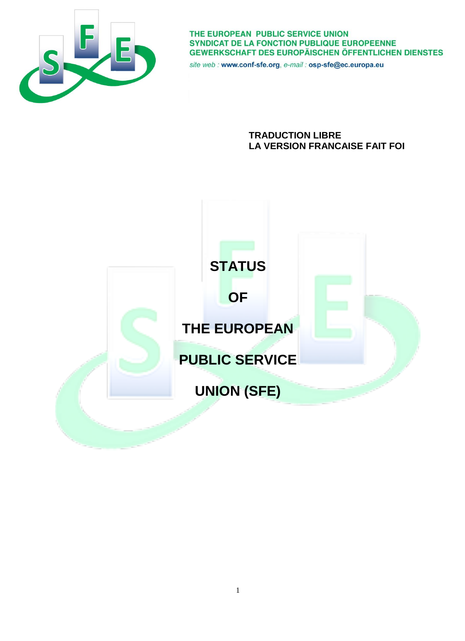

THE EUROPEAN PUBLIC SERVICE UNION SYNDICAT DE LA FONCTION PUBLIQUE EUROPEENNE **GEWERKSCHAFT DES EUROPÄISCHEN ÖFFENTLICHEN DIENSTES** 

site web : www.conf-sfe.org, e-mail : osp-sfe@ec.europa.eu

**TRADUCTION LIBRE LA VERSION FRANCAISE FAIT FOI**

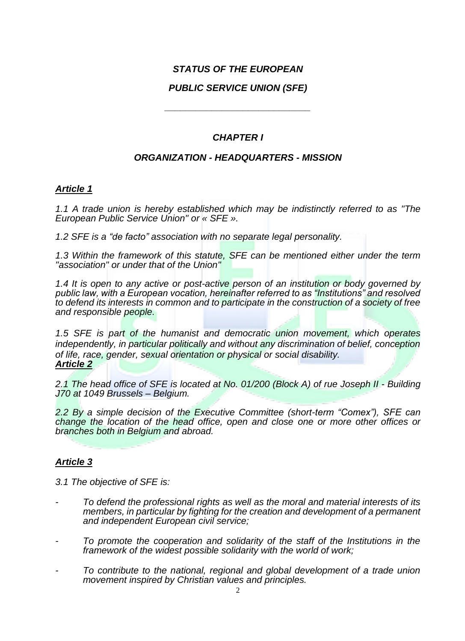# *STATUS OF THE EUROPEAN*

# *PUBLIC SERVICE UNION (SFE)*

*\_\_\_\_\_\_\_\_\_\_\_\_\_\_\_\_\_\_\_\_\_\_\_\_\_\_\_\_*

# *CHAPTER I*

# *ORGANIZATION - HEADQUARTERS - MISSION*

# *Article 1*

*1.1 A trade union is hereby established which may be indistinctly referred to as "The European Public Service Union" or « SFE ».*

*1.2 SFE is a "de facto" association with no separate legal personality.*

*1.3 Within the framework of this statute, SFE can be mentioned either under the term "association" or under that of the Union"* 

*1.4 It is open to any active or post-active person of an institution or body governed by public law, with a European vocation, hereinafter referred to as "Institutions" and resolved to defend its interests in common and to participate in the construction of a society of free and responsible people.*

*1.5 SFE is part of the humanist and democratic union movement, which operates independently, in particular politically and without any discrimination of belief, conception of life, race, gender, sexual orientation or physical or social disability. Article 2*

*2.1 The head office of SFE is located at No. 01/200 (Block A) of rue Joseph II - Building J70 at 1049 Brussels – Belgium.*

*2.2 By a simple decision of the Executive Committee (short-term "Comex"), SFE can change the location of the head office, open and close one or more other offices or branches both in Belgium and abroad.*

# *Article 3*

*3.1 The objective of SFE is:*

- *- To defend the professional rights as well as the moral and material interests of its members, in particular by fighting for the creation and development of a permanent and independent European civil service;*
- *- To promote the cooperation and solidarity of the staff of the Institutions in the framework of the widest possible solidarity with the world of work;*
- *- To contribute to the national, regional and global development of a trade union movement inspired by Christian values and principles.*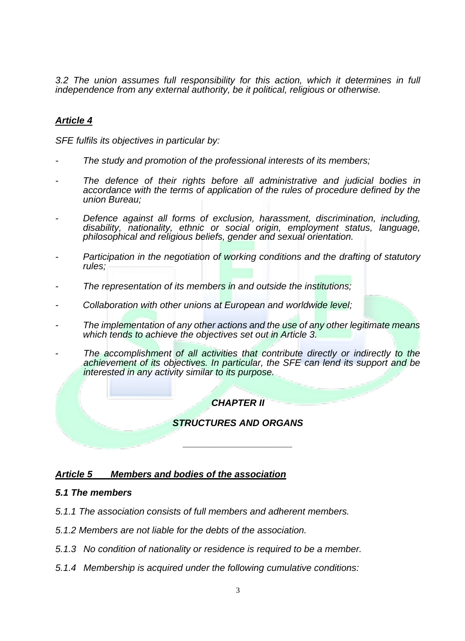*3.2 The union assumes full responsibility for this action, which it determines in full independence from any external authority, be it political, religious or otherwise.*

# *Article 4*

*SFE fulfils its objectives in particular by:*

- *- The study and promotion of the professional interests of its members;*
- The defence of their rights before all administrative and judicial bodies in *accordance with the terms of application of the rules of procedure defined by the union Bureau;*
- *- Defence against all forms of exclusion, harassment, discrimination, including, disability, nationality, ethnic or social origin, employment status, language, philosophical and religious beliefs, gender and sexual orientation.*
- *- Participation in the negotiation of working conditions and the drafting of statutory rules;*
- *- The representation of its members in and outside the institutions;*
- *- Collaboration with other unions at European and worldwide level;*
- *- The implementation of any other actions and the use of any other legitimate means which tends to achieve the objectives set out in Article 3.*
- The accomplishment of all activities that contribute directly or indirectly to the *achievement of its objectives. In particular, the SFE can lend its support and be interested in any activity similar to its purpose.*

# *CHAPTER II*

### *STRUCTURES AND ORGANS*

*\_\_\_\_\_\_\_\_\_\_\_\_\_\_\_\_\_\_\_\_\_*

#### *Article 5 Members and bodies of the association*

#### *5.1 The members*

- *5.1.1 The association consists of full members and adherent members.*
- *5.1.2 Members are not liable for the debts of the association.*
- *5.1.3 No condition of nationality or residence is required to be a member.*
- *5.1.4 Membership is acquired under the following cumulative conditions:*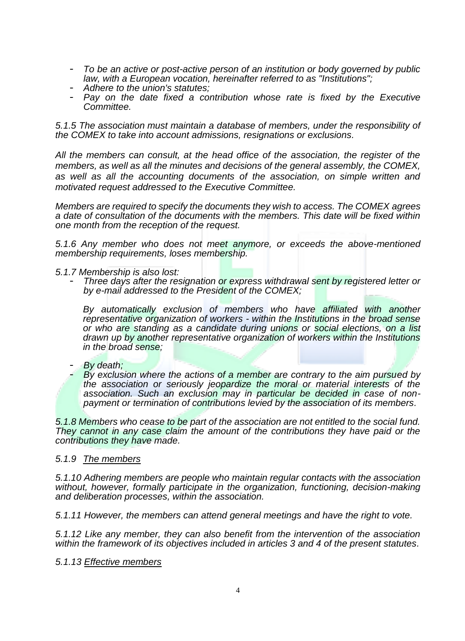- *To be an active or post-active person of an institution or body governed by public law, with a European vocation, hereinafter referred to as "Institutions";*
- *Adhere to the union's statutes;*
- *Pay on the date fixed a contribution whose rate is fixed by the Executive Committee.*

*5.1.5 The association must maintain a database of members, under the responsibility of the COMEX to take into account admissions, resignations or exclusions.*

*All the members can consult, at the head office of the association, the register of the members, as well as all the minutes and decisions of the general assembly, the COMEX, as well as all the accounting documents of the association, on simple written and motivated request addressed to the Executive Committee.*

*Members are required to specify the documents they wish to access. The COMEX agrees a date of consultation of the documents with the members. This date will be fixed within one month from the reception of the request.*

*5.1.6 Any member who does not meet anymore, or exceeds the above-mentioned membership requirements, loses membership.*

*5.1.7 Membership is also lost:*

- *Three days after the resignation or express withdrawal sent by registered letter or by e-mail addressed to the President of the COMEX;* 

*By automatically exclusion of members who have affiliated with another representative organization of workers - within the Institutions in the broad sense or who are standing as a candidate during unions or social elections, on a list drawn up by another representative organization of workers within the Institutions in the broad sense;*

- *By death;* 

**By exclusion where the actions of a member are contrary to the aim pursued by** *the association or seriously jeopardize the moral or material interests of the association. Such an exclusion may in particular be decided in case of nonpayment or termination of contributions levied by the association of its members.* 

*5.1.8 Members who cease to be part of the association are not entitled to the social fund. They cannot in any case claim the amount of the contributions they have paid or the contributions they have made.*

#### *5.1.9 The members*

*5.1.10 Adhering members are people who maintain regular contacts with the association without, however, formally participate in the organization, functioning, decision-making and deliberation processes, within the association.*

*5.1.11 However, the members can attend general meetings and have the right to vote.* 

*5.1.12 Like any member, they can also benefit from the intervention of the association within the framework of its objectives included in articles 3 and 4 of the present statutes.*

*5.1.13 Effective members*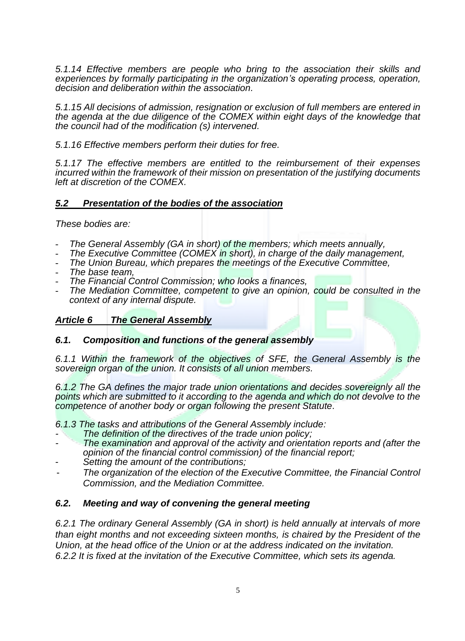*5.1.14 Effective members are people who bring to the association their skills and experiences by formally participating in the organization's operating process, operation, decision and deliberation within the association.*

*5.1.15 All decisions of admission, resignation or exclusion of full members are entered in the agenda at the due diligence of the COMEX within eight days of the knowledge that the council had of the modification (s) intervened.*

*5.1.16 Effective members perform their duties for free.*

*5.1.17 The effective members are entitled to the reimbursement of their expenses incurred within the framework of their mission on presentation of the justifying documents left at discretion of the COMEX.*

# *5.2 Presentation of the bodies of the association*

*These bodies are:*

- *The General Assembly (GA in short) of the members; which meets annually,*
- *The Executive Committee (COMEX in short), in charge of the daily management,*
- *The Union Bureau, which prepares the meetings of the Executive Committee,*
- *The base team,*
- *The Financial Control Commission; who looks a finances,*
- The Mediation Committee, competent to give an opinion, could be consulted in the *context of any internal dispute.*

# *Article 6 The General Assembly*

# *6.1. Composition and functions of the general assembly*

*6.1.1 Within the framework of the objectives of SFE, the General Assembly is the sovereign organ of the union. It consists of all union members.* 

*6.1.2 The GA defines the major trade union orientations and decides sovereignly all the points which are submitted to it according to the agenda and which do not devolve to the competence of another body or organ following the present Statute.*

*6.1.3 The tasks and attributions of the General Assembly include:*

- *- The definition of the directives of the trade union policy;*
- *- The examination and approval of the activity and orientation reports and (after the opinion of the financial control commission) of the financial report;*
- *Setting the amount of the contributions;*
- *The organization of the election of the Executive Committee, the Financial Control Commission, and the Mediation Committee.*

# *6.2. Meeting and way of convening the general meeting*

*6.2.1 The ordinary General Assembly (GA in short) is held annually at intervals of more than eight months and not exceeding sixteen months, is chaired by the President of the Union, at the head office of the Union or at the address indicated on the invitation. 6.2.2 It is fixed at the invitation of the Executive Committee, which sets its agenda.*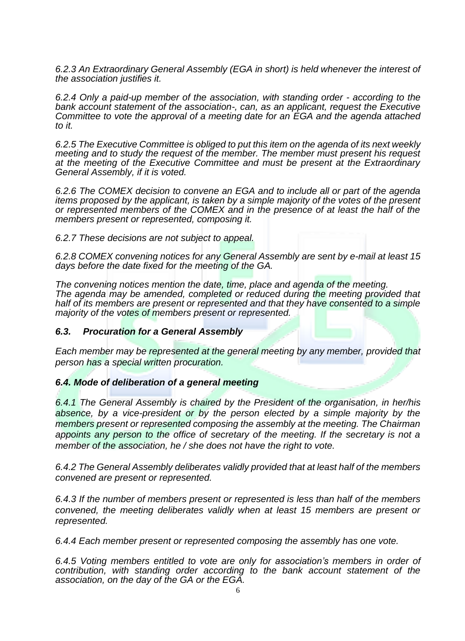*6.2.3 An Extraordinary General Assembly (EGA in short) is held whenever the interest of the association justifies it.* 

*6.2.4 Only a paid-up member of the association, with standing order - according to the bank account statement of the association-, can, as an applicant, request the Executive Committee to vote the approval of a meeting date for an EGA and the agenda attached to it.*

*6.2.5 The Executive Committee is obliged to put this item on the agenda of its next weekly meeting and to study the request of the member. The member must present his request at the meeting of the Executive Committee and must be present at the Extraordinary General Assembly, if it is voted.*

*6.2.6 The COMEX decision to convene an EGA and to include all or part of the agenda items proposed by the applicant, is taken by a simple majority of the votes of the present or represented members of the COMEX and in the presence of at least the half of the members present or represented, composing it.*

*6.2.7 These decisions are not subject to appeal.*

*6.2.8 COMEX convening notices for any General Assembly are sent by e-mail at least 15 days before the date fixed for the meeting of the GA.*

*The convening notices mention the date, time, place and agenda of the meeting. The agenda may be amended, completed or reduced during the meeting provided that half of its members are present or represented and that they have consented to a simple majority of the votes of members present or represented.*

#### *6.3. Procuration for a General Assembly*

*Each member may be represented at the general meeting by any member, provided that person has a special written procuration.*

#### *6.4. Mode of deliberation of a general meeting*

*6.4.1 The General Assembly is chaired by the President of the organisation, in her/his absence, by a vice-president or by the person elected by a simple majority by the members present or represented composing the assembly at the meeting. The Chairman appoints any person to the office of secretary of the meeting. If the secretary is not a member of the association, he / she does not have the right to vote.*

*6.4.2 The General Assembly deliberates validly provided that at least half of the members convened are present or represented.*

*6.4.3 If the number of members present or represented is less than half of the members convened, the meeting deliberates validly when at least 15 members are present or represented.*

*6.4.4 Each member present or represented composing the assembly has one vote.*

*6.4.5 Voting members entitled to vote are only for association's members in order of contribution, with standing order according to the bank account statement of the association, on the day of the GA or the EGA.*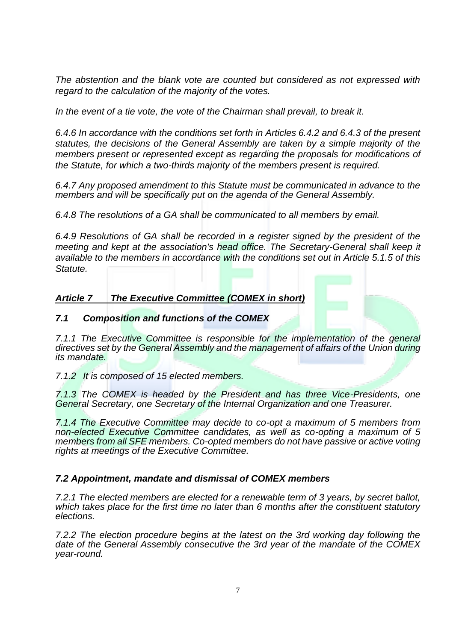*The abstention and the blank vote are counted but considered as not expressed with regard to the calculation of the majority of the votes.*

*In the event of a tie vote, the vote of the Chairman shall prevail, to break it.*

*6.4.6 In accordance with the conditions set forth in Articles 6.4.2 and 6.4.3 of the present statutes, the decisions of the General Assembly are taken by a simple majority of the members present or represented except as regarding the proposals for modifications of the Statute, for which a two-thirds majority of the members present is required.*

*6.4.7 Any proposed amendment to this Statute must be communicated in advance to the members and will be specifically put on the agenda of the General Assembly.*

*6.4.8 The resolutions of a GA shall be communicated to all members by email.*

*6.4.9 Resolutions of GA shall be recorded in a register signed by the president of the meeting and kept at the association's head office. The Secretary-General shall keep it available to the members in accordance with the conditions set out in Article 5.1.5 of this Statute.*

# *Article 7 The Executive Committee (COMEX in short)*

### *7.1 Composition and functions of the COMEX*

*7.1.1 The Executive Committee is responsible for the implementation of the general directives set by the General Assembly and the management of affairs of the Union during its mandate.*

*7.1.2 It is composed of 15 elected members.*

*7.1.3 The COMEX is headed by the President and has three Vice-Presidents, one General Secretary, one Secretary of the Internal Organization and one Treasurer.*

*7.1.4 The Executive Committee may decide to co-opt a maximum of 5 members from non-elected Executive Committee candidates, as well as co-opting a maximum of 5 members from all SFE members. Co-opted members do not have passive or active voting rights at meetings of the Executive Committee.*

#### *7.2 Appointment, mandate and dismissal of COMEX members*

*7.2.1 The elected members are elected for a renewable term of 3 years, by secret ballot, which takes place for the first time no later than 6 months after the constituent statutory elections.*

*7.2.2 The election procedure begins at the latest on the 3rd working day following the date of the General Assembly consecutive the 3rd year of the mandate of the COMEX year-round.*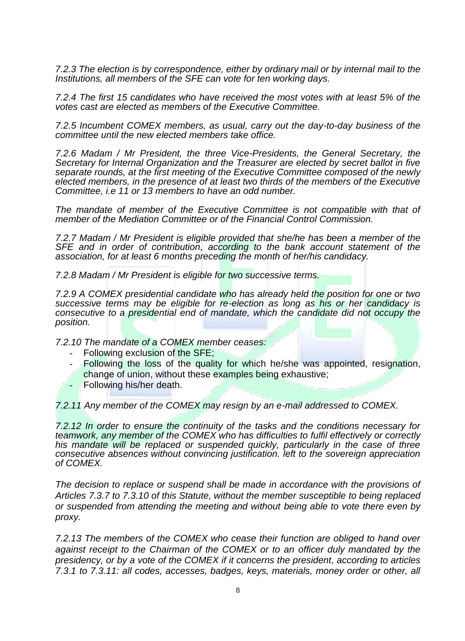*7.2.3 The election is by correspondence, either by ordinary mail or by internal mail to the Institutions, all members of the SFE can vote for ten working days.*

*7.2.4 The first 15 candidates who have received the most votes with at least 5% of the votes cast are elected as members of the Executive Committee.*

*7.2.5 Incumbent COMEX members, as usual, carry out the day-to-day business of the committee until the new elected members take office.*

*7.2.6 Madam / Mr President, the three Vice-Presidents, the General Secretary, the Secretary for Internal Organization and the Treasurer are elected by secret ballot in five separate rounds, at the first meeting of the Executive Committee composed of the newly elected members, in the presence of at least two thirds of the members of the Executive Committee, i.e 11 or 13 members to have an odd number.*

*The mandate of member of the Executive Committee is not compatible with that of member of the Mediation Committee or of the Financial Control Commission.*

*7.2.7 Madam / Mr President is eligible provided that she/he has been a member of the SFE and in order of contribution, according to the bank account statement of the association, for at least 6 months preceding the month of her/his candidacy.*

*7.2.8 Madam / Mr President is eligible for two successive terms.*

*7.2.9 A COMEX presidential candidate who has already held the position for one or two successive terms may be eligible for re-election as long as his or her candidacy is consecutive to a presidential end of mandate, which the candidate did not occupy the position.*

*7.2.10 The mandate of a COMEX member ceases:*

- Following exclusion of the SFE;
- Following the loss of the quality for which he/she was appointed, resignation, change of union, without these examples being exhaustive;
- Following his/her death.

*7.2.11 Any member of the COMEX may resign by an e-mail addressed to COMEX.*

*7.2.12 In order to ensure the continuity of the tasks and the conditions necessary for teamwork, any member of the COMEX who has difficulties to fulfil effectively or correctly his mandate will be replaced or suspended quickly, particularly in the case of three consecutive absences without convincing justification. left to the sovereign appreciation of COMEX.*

*The decision to replace or suspend shall be made in accordance with the provisions of Articles 7.3.7 to 7.3.10 of this Statute, without the member susceptible to being replaced or suspended from attending the meeting and without being able to vote there even by proxy.*

*7.2.13 The members of the COMEX who cease their function are obliged to hand over against receipt to the Chairman of the COMEX or to an officer duly mandated by the presidency, or by a vote of the COMEX if it concerns the president, according to articles 7.3.1 to 7.3.11: all codes, accesses, badges, keys, materials, money order or other, all*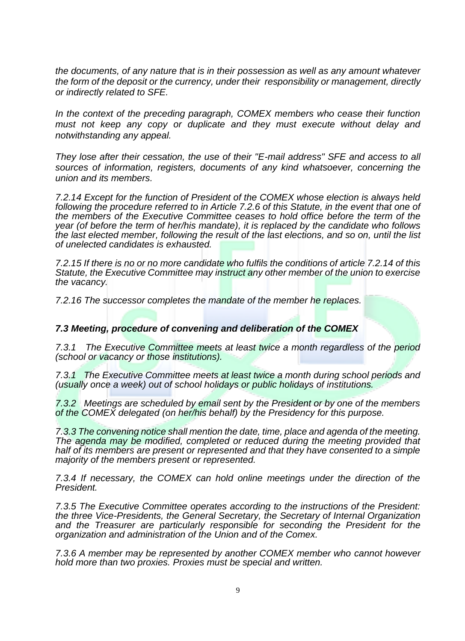*the documents, of any nature that is in their possession as well as any amount whatever the form of the deposit or the currency, under their responsibility or management, directly or indirectly related to SFE.*

*In the context of the preceding paragraph, COMEX members who cease their function must not keep any copy or duplicate and they must execute without delay and notwithstanding any appeal.*

*They lose after their cessation, the use of their "E-mail address" SFE and access to all sources of information, registers, documents of any kind whatsoever, concerning the union and its members.*

*7.2.14 Except for the function of President of the COMEX whose election is always held following the procedure referred to in Article 7.2.6 of this Statute, in the event that one of the members of the Executive Committee ceases to hold office before the term of the year (of before the term of her/his mandate), it is replaced by the candidate who follows the last elected member, following the result of the last elections, and so on, until the list of unelected candidates is exhausted.*

*7.2.15 If there is no or no more candidate who fulfils the conditions of article 7.2.14 of this Statute, the Executive Committee may instruct any other member of the union to exercise the vacancy.*

*7.2.16 The successor completes the mandate of the member he replaces.*

#### *7.3 Meeting, procedure of convening and deliberation of the COMEX*

*7.3.1 The Executive Committee meets at least twice a month regardless of the period (school or vacancy or those institutions).*

*7.3.1 The Executive Committee meets at least twice a month during school periods and (usually once a week) out of school holidays or public holidays of institutions.*

*7.3.2 Meetings are scheduled by email sent by the President or by one of the members of the COMEX delegated (on her/his behalf) by the Presidency for this purpose.*

*7.3.3 The convening notice shall mention the date, time, place and agenda of the meeting. The agenda may be modified, completed or reduced during the meeting provided that half of its members are present or represented and that they have consented to a simple majority of the members present or represented.*

*7.3.4 If necessary, the COMEX can hold online meetings under the direction of the President.*

*7.3.5 The Executive Committee operates according to the instructions of the President: the three Vice-Presidents, the General Secretary, the Secretary of Internal Organization and the Treasurer are particularly responsible for seconding the President for the organization and administration of the Union and of the Comex.*

*7.3.6 A member may be represented by another COMEX member who cannot however hold more than two proxies. Proxies must be special and written.*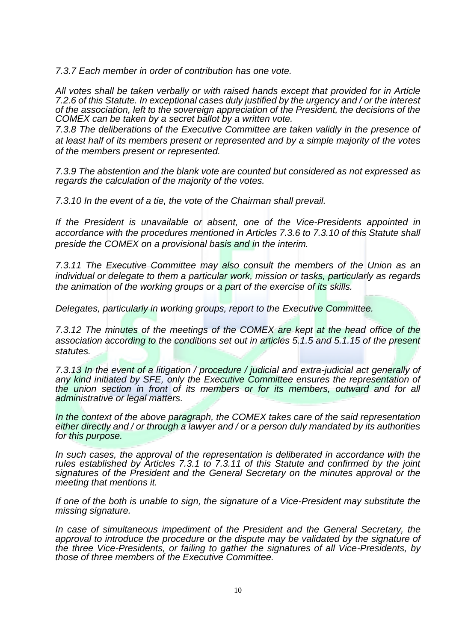*7.3.7 Each member in order of contribution has one vote.*

*All votes shall be taken verbally or with raised hands except that provided for in Article 7.2.6 of this Statute. In exceptional cases duly justified by the urgency and / or the interest of the association, left to the sovereign appreciation of the President, the decisions of the COMEX can be taken by a secret ballot by a written vote.*

*7.3.8 The deliberations of the Executive Committee are taken validly in the presence of at least half of its members present or represented and by a simple majority of the votes of the members present or represented.*

*7.3.9 The abstention and the blank vote are counted but considered as not expressed as regards the calculation of the majority of the votes.*

*7.3.10 In the event of a tie, the vote of the Chairman shall prevail.*

*If the President is unavailable or absent, one of the Vice-Presidents appointed in accordance with the procedures mentioned in Articles 7.3.6 to 7.3.10 of this Statute shall preside the COMEX on a provisional basis and in the interim.*

*7.3.11 The Executive Committee may also consult the members of the Union as an individual or delegate to them a particular work, mission or tasks, particularly as regards the animation of the working groups or a part of the exercise of its skills.*

*Delegates, particularly in working groups, report to the Executive Committee.*

*7.3.12 The minutes of the meetings of the COMEX are kept at the head office of the association according to the conditions set out in articles 5.1.5 and 5.1.15 of the present statutes.*

*7.3.13 In the event of a litigation / procedure / judicial and extra-judicial act generally of any kind initiated by SFE, only the Executive Committee ensures the representation of the union section in front of its members or for its members, outward and for all administrative or legal matters.*

*In the context of the above paragraph, the COMEX takes care of the said representation either directly and / or through a lawyer and / or a person duly mandated by its authorities for this purpose.*

*In such cases, the approval of the representation is deliberated in accordance with the rules established by Articles 7.3.1 to 7.3.11 of this Statute and confirmed by the joint signatures of the President and the General Secretary on the minutes approval or the meeting that mentions it.*

*If one of the both is unable to sign, the signature of a Vice-President may substitute the missing signature.*

In case of simultaneous impediment of the President and the General Secretary, the *approval to introduce the procedure or the dispute may be validated by the signature of the three Vice-Presidents, or failing to gather the signatures of all Vice-Presidents, by those of three members of the Executive Committee.*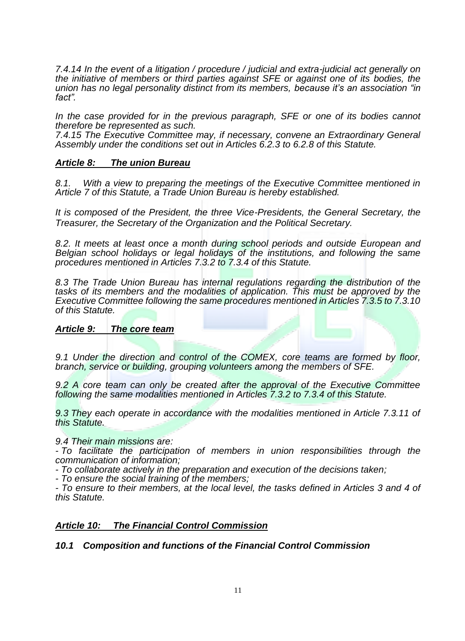*7.4.14 In the event of a litigation / procedure / judicial and extra-judicial act generally on the initiative of members or third parties against SFE or against one of its bodies, the union has no legal personality distinct from its members, because it's an association "in fact".*

*In the case provided for in the previous paragraph, SFE or one of its bodies cannot therefore be represented as such.*

*7.4.15 The Executive Committee may, if necessary, convene an Extraordinary General Assembly under the conditions set out in Articles 6.2.3 to 6.2.8 of this Statute.*

### *Article 8: The union Bureau*

*8.1. With a view to preparing the meetings of the Executive Committee mentioned in Article 7 of this Statute, a Trade Union Bureau is hereby established.*

*It is composed of the President, the three Vice-Presidents, the General Secretary, the Treasurer, the Secretary of the Organization and the Political Secretary.*

*8.2. It meets at least once a month during school periods and outside European and Belgian school holidays or legal holidays of the institutions, and following the same procedures mentioned in Articles 7.3.2 to 7.3.4 of this Statute.*

*8.3 The Trade Union Bureau has internal regulations regarding the distribution of the*  tasks of its members and the modalities of application. This must be approved by the *Executive Committee following the same procedures mentioned in Articles 7.3.5 to 7.3.10 of this Statute.*

#### *Article 9: The core team*

*9.1 Under the direction and control of the COMEX, core teams are formed by floor, branch, service or building, grouping volunteers among the members of SFE.*

*9.2 A core team can only be created after the approval of the Executive Committee following the same modalities mentioned in Articles 7.3.2 to 7.3.4 of this Statute.*

*9.3 They each operate in accordance with the modalities mentioned in Article 7.3.11 of this Statute.*

#### *9.4 Their main missions are:*

*- To facilitate the participation of members in union responsibilities through the communication of information;*

*- To collaborate actively in the preparation and execution of the decisions taken;*

*- To ensure the social training of the members;*

*- To ensure to their members, at the local level, the tasks defined in Articles 3 and 4 of this Statute.*

#### *Article 10: The Financial Control Commission*

#### *10.1 Composition and functions of the Financial Control Commission*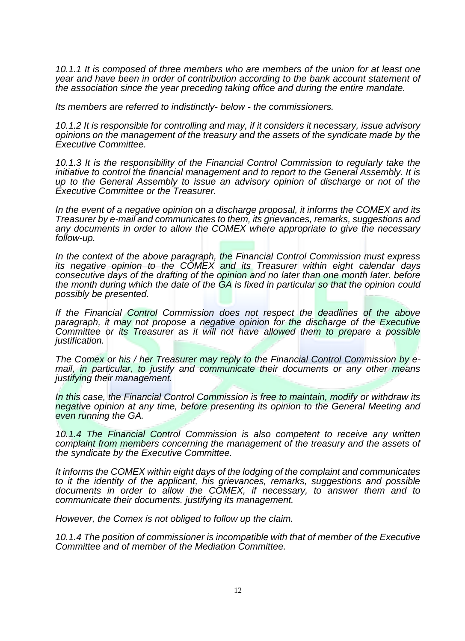*10.1.1 It is composed of three members who are members of the union for at least one year and have been in order of contribution according to the bank account statement of the association since the year preceding taking office and during the entire mandate.*

*Its members are referred to indistinctly- below - the commissioners.*

*10.1.2 It is responsible for controlling and may, if it considers it necessary, issue advisory opinions on the management of the treasury and the assets of the syndicate made by the Executive Committee.*

*10.1.3 It is the responsibility of the Financial Control Commission to regularly take the initiative to control the financial management and to report to the General Assembly. It is up to the General Assembly to issue an advisory opinion of discharge or not of the Executive Committee or the Treasurer.*

*In the event of a negative opinion on a discharge proposal, it informs the COMEX and its Treasurer by e-mail and communicates to them, its grievances, remarks, suggestions and any documents in order to allow the COMEX where appropriate to give the necessary follow-up.*

*In the context of the above paragraph, the Financial Control Commission must express its negative opinion to the COMEX and its Treasurer within eight calendar days consecutive days of the drafting of the opinion and no later than one month later. before the month during which the date of the GA is fixed in particular so that the opinion could possibly be presented.*

*If the Financial Control Commission does not respect the deadlines of the above paragraph, it may not propose a negative opinion for the discharge of the Executive Committee or its Treasurer as it will not have allowed them to prepare a possible justification.*

*The Comex or his / her Treasurer may reply to the Financial Control Commission by email, in particular, to justify and communicate their documents or any other means justifying their management.*

*In this case, the Financial Control Commission is free to maintain, modify or withdraw its negative opinion at any time, before presenting its opinion to the General Meeting and even running the GA.*

*10.1.4 The Financial Control Commission is also competent to receive any written complaint from members concerning the management of the treasury and the assets of the syndicate by the Executive Committee.*

*It informs the COMEX within eight days of the lodging of the complaint and communicates to it the identity of the applicant, his grievances, remarks, suggestions and possible*  documents in order to allow the COMEX, if necessary, to answer them and to *communicate their documents. justifying its management.*

*However, the Comex is not obliged to follow up the claim.*

*10.1.4 The position of commissioner is incompatible with that of member of the Executive Committee and of member of the Mediation Committee.*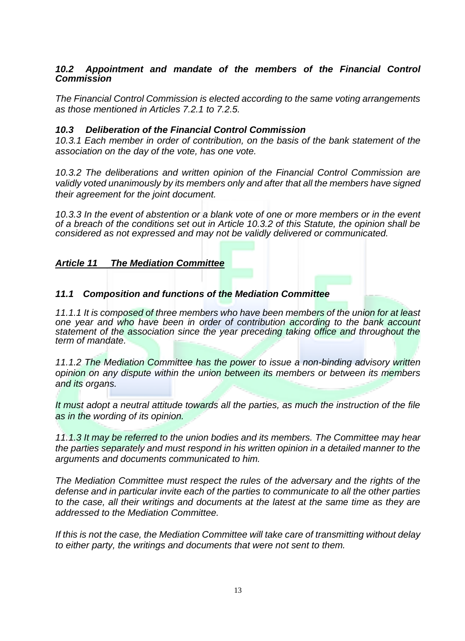# *10.2 Appointment and mandate of the members of the Financial Control Commission*

*The Financial Control Commission is elected according to the same voting arrangements as those mentioned in Articles 7.2.1 to 7.2.5.*

# *10.3 Deliberation of the Financial Control Commission*

*10.3.1 Each member in order of contribution, on the basis of the bank statement of the association on the day of the vote, has one vote.*

*10.3.2 The deliberations and written opinion of the Financial Control Commission are validly voted unanimously by its members only and after that all the members have signed their agreement for the joint document.*

*10.3.3 In the event of abstention or a blank vote of one or more members or in the event of a breach of the conditions set out in Article 10.3.2 of this Statute, the opinion shall be considered as not expressed and may not be validly delivered or communicated.*

# *Article 11 The Mediation Committee*

# *11.1 Composition and functions of the Mediation Committee*

*11.1.1 It is composed of three members who have been members of the union for at least one year and who have been in order of contribution according to the bank account statement of the association since the year preceding taking office and throughout the term of mandate.*

*11.1.2 The Mediation Committee has the power to issue a non-binding advisory written opinion on any dispute within the union between its members or between its members and its organs.*

*It must adopt a neutral attitude towards all the parties, as much the instruction of the file as in the wording of its opinion.*

*11.1.3 It may be referred to the union bodies and its members. The Committee may hear the parties separately and must respond in his written opinion in a detailed manner to the arguments and documents communicated to him.*

*The Mediation Committee must respect the rules of the adversary and the rights of the defense and in particular invite each of the parties to communicate to all the other parties to the case, all their writings and documents at the latest at the same time as they are addressed to the Mediation Committee.*

*If this is not the case, the Mediation Committee will take care of transmitting without delay to either party, the writings and documents that were not sent to them.*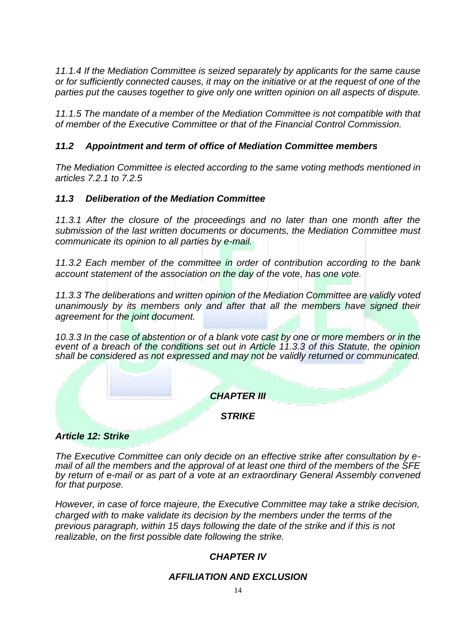*11.1.4 If the Mediation Committee is seized separately by applicants for the same cause or for sufficiently connected causes, it may on the initiative or at the request of one of the parties put the causes together to give only one written opinion on all aspects of dispute.*

*11.1.5 The mandate of a member of the Mediation Committee is not compatible with that of member of the Executive Committee or that of the Financial Control Commission.*

# *11.2 Appointment and term of office of Mediation Committee members*

*The Mediation Committee is elected according to the same voting methods mentioned in articles 7.2.1 to 7.2.5*

# *11.3 Deliberation of the Mediation Committee*

*11.3.1 After the closure of the proceedings and no later than one month after the submission of the last written documents or documents, the Mediation Committee must communicate its opinion to all parties by e-mail.*

*11.3.2 Each member of the committee in order of contribution according to the bank account statement of the association on the day of the vote, has one vote.*

*11.3.3 The deliberations and written opinion of the Mediation Committee are validly voted unanimously by its members only and after that all the members have signed their agreement for the joint document.*

*10.3.3 In the case of abstention or of a blank vote cast by one or more members or in the event of a breach of the conditions set out in Article 11.3.3 of this Statute, the opinion shall be considered as not expressed and may not be validly returned or communicated.*

# *CHAPTER III*

*STRIKE*

# *Article 12: Strike*

*The Executive Committee can only decide on an effective strike after consultation by email of all the members and the approval of at least one third of the members of the SFE by return of e-mail or as part of a vote at an extraordinary General Assembly convened for that purpose.*

*However, in case of force majeure, the Executive Committee may take a strike decision, charged with to make validate its decision by the members under the terms of the previous paragraph, within 15 days following the date of the strike and if this is not realizable, on the first possible date following the strike.*

# *CHAPTER IV*

# *AFFILIATION AND EXCLUSION*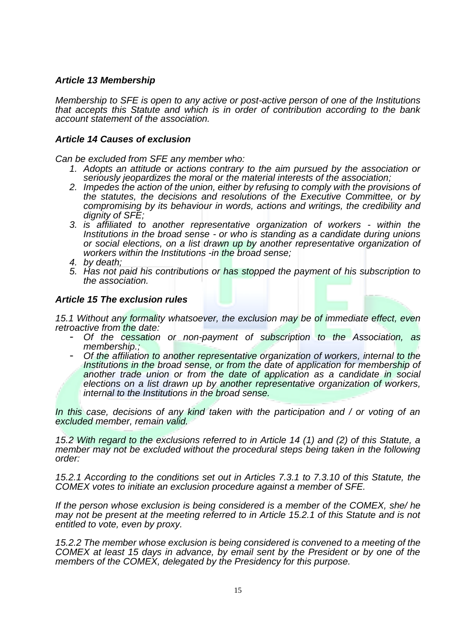### *Article 13 Membership*

*Membership to SFE is open to any active or post-active person of one of the Institutions that accepts this Statute and which is in order of contribution according to the bank account statement of the association.*

#### *Article 14 Causes of exclusion*

*Can be excluded from SFE any member who:*

- *1. Adopts an attitude or actions contrary to the aim pursued by the association or seriously jeopardizes the moral or the material interests of the association;*
- *2. Impedes the action of the union, either by refusing to comply with the provisions of the statutes, the decisions and resolutions of the Executive Committee, or by compromising by its behaviour in words, actions and writings, the credibility and dignity of SFE;*
- *3. is affiliated to another representative organization of workers - within the Institutions in the broad sense - or who is standing as a candidate during unions or social elections, on a list drawn up by another representative organization of workers within the Institutions -in the broad sense;*
- *4. by death;*
- *5. Has not paid his contributions or has stopped the payment of his subscription to the association.*

### *Article 15 The exclusion rules*

*15.1 Without any formality whatsoever, the exclusion may be of immediate effect, even retroactive from the date:*

- *Of the cessation or non-payment of subscription to the Association, as membership.;*
- *Of the affiliation to another representative organization of workers, internal to the Institutions in the broad sense, or from the date of application for membership of*  another trade union or from the date of application as a candidate in social *elections on a list drawn up by another representative organization of workers, internal to the Institutions in the broad sense.*

*In this case, decisions of any kind taken with the participation and / or voting of an excluded member, remain valid.*

*15.2 With regard to the exclusions referred to in Article 14 (1) and (2) of this Statute, a member may not be excluded without the procedural steps being taken in the following order:*

*15.2.1 According to the conditions set out in Articles 7.3.1 to 7.3.10 of this Statute, the COMEX votes to initiate an exclusion procedure against a member of SFE.*

*If the person whose exclusion is being considered is a member of the COMEX, she/ he may not be present at the meeting referred to in Article 15.2.1 of this Statute and is not entitled to vote, even by proxy.*

*15.2.2 The member whose exclusion is being considered is convened to a meeting of the COMEX at least 15 days in advance, by email sent by the President or by one of the members of the COMEX, delegated by the Presidency for this purpose.*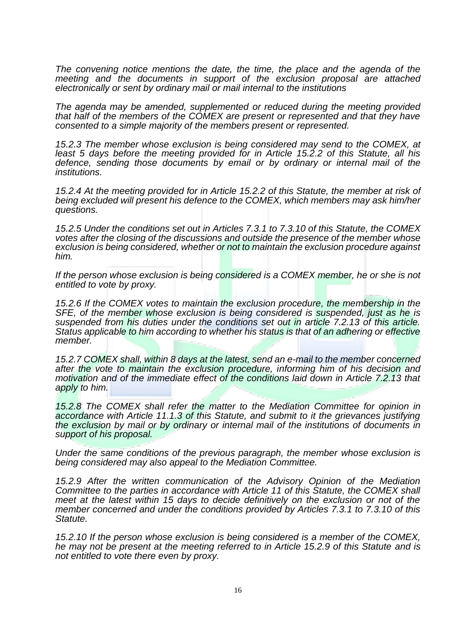*The convening notice mentions the date, the time, the place and the agenda of the meeting and the documents in support of the exclusion proposal are attached electronically or sent by ordinary mail or mail internal to the institutions* 

*The agenda may be amended, supplemented or reduced during the meeting provided that half of the members of the COMEX are present or represented and that they have consented to a simple majority of the members present or represented.*

*15.2.3 The member whose exclusion is being considered may send to the COMEX, at least 5 days before the meeting provided for in Article 15.2.2 of this Statute, all his defence, sending those documents by email or by ordinary or internal mail of the institutions.*

*15.2.4 At the meeting provided for in Article 15.2.2 of this Statute, the member at risk of being excluded will present his defence to the COMEX, which members may ask him/her questions.*

*15.2.5 Under the conditions set out in Articles 7.3.1 to 7.3.10 of this Statute, the COMEX votes after the closing of the discussions and outside the presence of the member whose exclusion is being considered, whether or not to maintain the exclusion procedure against him.*

*If the person whose exclusion is being considered is a COMEX member, he or she is not entitled to vote by proxy.*

*15.2.6 If the COMEX votes to maintain the exclusion procedure, the membership in the SFE, of the member whose exclusion is being considered is suspended, just as he is suspended from his duties under the conditions set out in article 7.2.13 of this article. Status applicable to him according to whether his status is that of an adhering or effective member.*

*15.2.7 COMEX shall, within 8 days at the latest, send an e-mail to the member concerned after the vote to maintain the exclusion procedure, informing him of his decision and motivation and of the immediate effect of the conditions laid down in Article 7.2.13 that apply to him.*

*15.2.8 The COMEX shall refer the matter to the Mediation Committee for opinion in accordance with Article 11.1.3 of this Statute, and submit to it the grievances justifying the exclusion by mail or by ordinary or internal mail of the institutions of documents in support of his proposal.*

*Under the same conditions of the previous paragraph, the member whose exclusion is being considered may also appeal to the Mediation Committee.*

*15.2.9 After the written communication of the Advisory Opinion of the Mediation Committee to the parties in accordance with Article 11 of this Statute, the COMEX shall meet at the latest within 15 days to decide definitively on the exclusion or not of the member concerned and under the conditions provided by Articles 7.3.1 to 7.3.10 of this Statute.*

*15.2.10 If the person whose exclusion is being considered is a member of the COMEX, he may not be present at the meeting referred to in Article 15.2.9 of this Statute and is not entitled to vote there even by proxy.*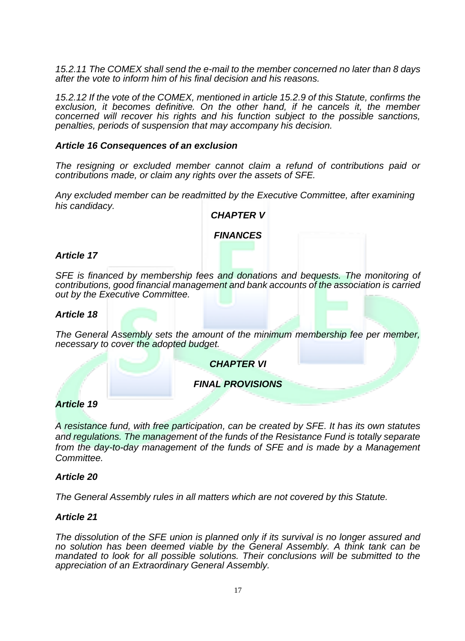*15.2.11 The COMEX shall send the e-mail to the member concerned no later than 8 days after the vote to inform him of his final decision and his reasons.*

*15.2.12 If the vote of the COMEX, mentioned in article 15.2.9 of this Statute, confirms the exclusion, it becomes definitive. On the other hand, if he cancels it, the member concerned will recover his rights and his function subject to the possible sanctions, penalties, periods of suspension that may accompany his decision.*

#### *Article 16 Consequences of an exclusion*

*The resigning or excluded member cannot claim a refund of contributions paid or contributions made, or claim any rights over the assets of SFE.*

*Any excluded member can be readmitted by the Executive Committee, after examining his candidacy.*

#### *CHAPTER V*

#### *FINANCES*

#### *Article 17*

*SFE is financed by membership fees and donations and bequests. The monitoring of contributions, good financial management and bank accounts of the association is carried out by the Executive Committee.*

#### *Article 18*

*The General Assembly sets the amount of the minimum membership fee per member, necessary to cover the adopted budget.*

*CHAPTER VI*

### *FINAL PROVISIONS*

#### *Article 19*

*A resistance fund, with free participation, can be created by SFE. It has its own statutes and regulations. The management of the funds of the Resistance Fund is totally separate from the day-to-day management of the funds of SFE and is made by a Management Committee.*

#### *Article 20*

*The General Assembly rules in all matters which are not covered by this Statute.*

#### *Article 21*

*The dissolution of the SFE union is planned only if its survival is no longer assured and no solution has been deemed viable by the General Assembly. A think tank can be mandated to look for all possible solutions. Their conclusions will be submitted to the appreciation of an Extraordinary General Assembly.*